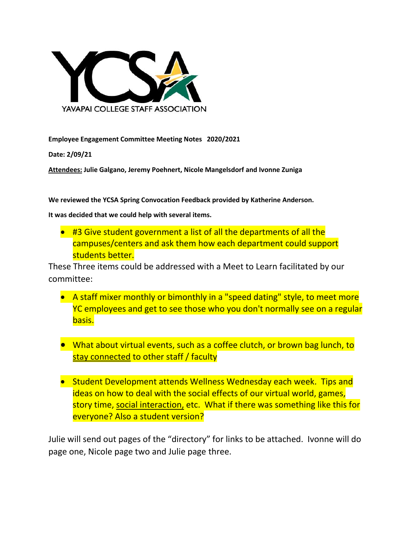

**Employee Engagement Committee Meeting Notes 2020/2021**

**Date: 2/09/21**

**Attendees: Julie Galgano, Jeremy Poehnert, Nicole Mangelsdorf and Ivonne Zuniga**

**We reviewed the YCSA Spring Convocation Feedback provided by Katherine Anderson.**

**It was decided that we could help with several items.**

• #3 Give student government a list of all the departments of all the campuses/centers and ask them how each department could support students better.

These Three items could be addressed with a Meet to Learn facilitated by our committee:

- A staff mixer monthly or bimonthly in a "speed dating" style, to meet more YC employees and get to see those who you don't normally see on a regular basis.
- What about virtual events, such as a coffee clutch, or brown bag lunch, to stay connected to other staff / faculty
- Student Development attends Wellness Wednesday each week. Tips and ideas on how to deal with the social effects of our virtual world, games, story time, social interaction, etc. What if there was something like this for everyone? Also a student version?

Julie will send out pages of the "directory" for links to be attached. Ivonne will do page one, Nicole page two and Julie page three.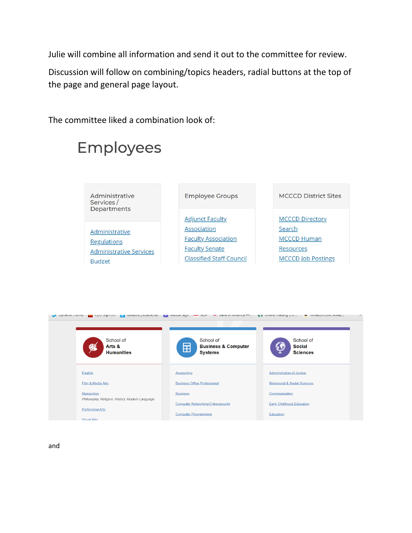Julie will combine all information and send it out to the committee for review.

Discussion will follow on combining/topics headers, radial buttons at the top of the page and general page layout.

The committee liked a combination look of:

## Employees

- Administrative Services / Departments
- Administrative **Regulations Administrative Services Budget**

## **Employee Groups**

**Adjunct Faculty** Association **Faculty Association Faculty Senate Classified Staff Council**  **MCCCD District Sites** 

**MCCCD Directory** Search **MCCCD Human** Resources **MCCCD Job Postings** 

| and consider the existence and a second consider the second and the second will be a second the second of the second second second second second second second second second second second second second second second second<br><b>Dynamic Forms</b><br><b>M.</b> MITTELUTTLUTTLE MITTEL<br>$^{\prime\prime}$ |                                                                    |                                               |
|----------------------------------------------------------------------------------------------------------------------------------------------------------------------------------------------------------------------------------------------------------------------------------------------------------------|--------------------------------------------------------------------|-----------------------------------------------|
| School of<br>₩<br>Arts &<br><b>Humanities</b>                                                                                                                                                                                                                                                                  | School of<br><b>Business &amp; Computer</b><br>田<br><b>Systems</b> | School of<br><b>Social</b><br><b>Sciences</b> |
| English                                                                                                                                                                                                                                                                                                        | <b>Accounting</b>                                                  | <b>Administration of Justice</b>              |
| Film & Media Arts                                                                                                                                                                                                                                                                                              | <b>Business Office Professional</b>                                | <b>Behavioral &amp; Social Sciences</b>       |
| <b>Humanities</b>                                                                                                                                                                                                                                                                                              | <b>Business</b>                                                    | Communication                                 |
| Philosophy, Religion, History, Modern Language                                                                                                                                                                                                                                                                 | <b>Computer Networking/Cybersecurity</b>                           | <b>Early Childhood Education</b>              |
| <b>Performing Arts</b>                                                                                                                                                                                                                                                                                         | <b>Computer Programming</b>                                        | Education                                     |
| Minimal Artis                                                                                                                                                                                                                                                                                                  |                                                                    |                                               |

and